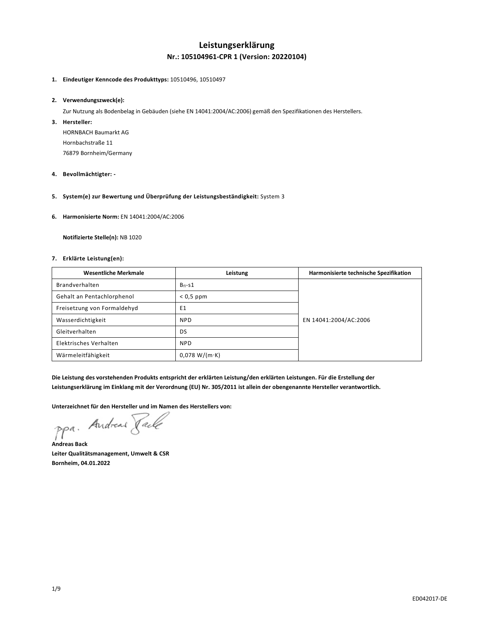## **Leistungserklärung Nr.: 105104961-CPR 1 (Version: 20220104)**

### **1. Eindeutiger Kenncode des Produkttyps:** 10510496, 10510497

### **2. Verwendungszweck(e):**

Zur Nutzung als Bodenbelag in Gebäuden (siehe EN 14041:2004/AC:2006) gemäß den Spezifikationen des Herstellers.

**3. Hersteller:** 

HORNBACH Baumarkt AG Hornbachstraße 11 76879 Bornheim/Germany

- **4. Bevollmächtigter:**
- **5. System(e) zur Bewertung und Überprüfung der Leistungsbeständigkeit:** System 3
- **6. Harmonisierte Norm:** EN 14041:2004/AC:2006

 **Notifizierte Stelle(n):** NB 1020

### **7. Erklärte Leistung(en):**

| <b>Wesentliche Merkmale</b> | Leistung              | Harmonisierte technische Spezifikation |
|-----------------------------|-----------------------|----------------------------------------|
| Brandverhalten              | $B_{fl} - S1$         |                                        |
| Gehalt an Pentachlorphenol  | $< 0.5$ ppm           |                                        |
| Freisetzung von Formaldehyd | E1                    |                                        |
| Wasserdichtigkeit           | <b>NPD</b>            | EN 14041:2004/AC:2006                  |
| Gleitverhalten              | DS                    |                                        |
| Elektrisches Verhalten      | <b>NPD</b>            |                                        |
| Wärmeleitfähigkeit          | $0.078 W/(m \cdot K)$ |                                        |

**Die Leistung des vorstehenden Produkts entspricht der erklärten Leistung/den erklärten Leistungen. Für die Erstellung der Leistungserklärung im Einklang mit der Verordnung (EU) Nr. 305/2011 ist allein der obengenannte Hersteller verantwortlich.** 

**Unterzeichnet für den Hersteller und im Namen des Herstellers von:** 

ppa. Andreas Paule

**Andreas Back Leiter Qualitätsmanagement, Umwelt & CSR Bornheim, 04.01.2022**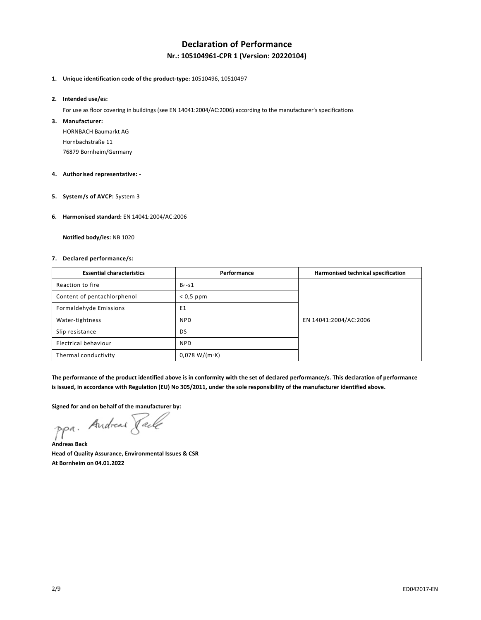# **Declaration of Performance Nr.: 105104961-CPR 1 (Version: 20220104)**

## **1. Unique identification code of the product-type:** 10510496, 10510497

#### **2. Intended use/es:**

For use as floor covering in buildings (see EN 14041:2004/AC:2006) according to the manufacturer's specifications

### **3. Manufacturer:**

HORNBACH Baumarkt AG Hornbachstraße 11 76879 Bornheim/Germany

### **4. Authorised representative: -**

**5. System/s of AVCP:** System 3

### **6. Harmonised standard:** EN 14041:2004/AC:2006

 **Notified body/ies:** NB 1020

### **7. Declared performance/s:**

| <b>Essential characteristics</b> | Performance   | Harmonised technical specification |
|----------------------------------|---------------|------------------------------------|
| Reaction to fire                 | $B_{fl} - S1$ |                                    |
| Content of pentachlorphenol      | $< 0.5$ ppm   |                                    |
| Formaldehyde Emissions           | E1            |                                    |
| Water-tightness                  | <b>NPD</b>    | EN 14041:2004/AC:2006              |
| Slip resistance                  | DS            |                                    |
| Electrical behaviour             | <b>NPD</b>    |                                    |
| Thermal conductivity             | 0,078 W/(m·K) |                                    |

**The performance of the product identified above is in conformity with the set of declared performance/s. This declaration of performance is issued, in accordance with Regulation (EU) No 305/2011, under the sole responsibility of the manufacturer identified above.** 

**Signed for and on behalf of the manufacturer by:** 

ppa. Andreas Paule

**Andreas Back Head of Quality Assurance, Environmental Issues & CSR At Bornheim on 04.01.2022**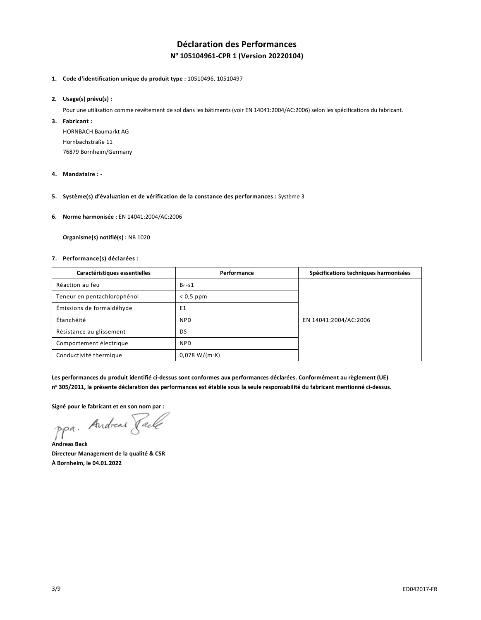# **Déclaration des Performances N o 105104961-CPR 1 (Version 20220104)**

## **1. Code d'identification unique du produit type :** 10510496, 10510497

### **2. Usage(s) prévu(s) :**

Pour une utilisation comme revêtement de sol dans les bâtiments (voir EN 14041:2004/AC:2006) selon les spécifications du fabricant.

### **3. Fabricant :**

HORNBACH Baumarkt AG Hornbachstraße 11 76879 Bornheim/Germany

### **4. Mandataire : -**

**5. Système(s) d'évaluation et de vérification de la constance des performances :** Système 3

### **6. Norme harmonisée :** EN 14041:2004/AC:2006

 **Organisme(s) notifié(s) :** NB 1020

### **7. Performance(s) déclarées :**

| Caractéristiques essentielles | Performance   | Spécifications techniques harmonisées |
|-------------------------------|---------------|---------------------------------------|
| Réaction au feu               | $B_{fl} - S1$ |                                       |
| Teneur en pentachlorophénol   | $< 0.5$ ppm   |                                       |
| Émissions de formaldéhyde     | E1            |                                       |
| Étanchéité                    | <b>NPD</b>    | EN 14041:2004/AC:2006                 |
| Résistance au glissement      | DS            |                                       |
| Comportement électrique       | <b>NPD</b>    |                                       |
| Conductivité thermique        | 0.078 W/(m·K) |                                       |

**Les performances du produit identifié ci-dessus sont conformes aux performances déclarées. Conformément au règlement (UE) n o 305/2011, la présente déclaration des performances est établie sous la seule responsabilité du fabricant mentionné ci-dessus.** 

**Signé pour le fabricant et en son nom par :** 

**Andreas Back Directeur Management de la qualité & CSR À Bornheim, le 04.01.2022**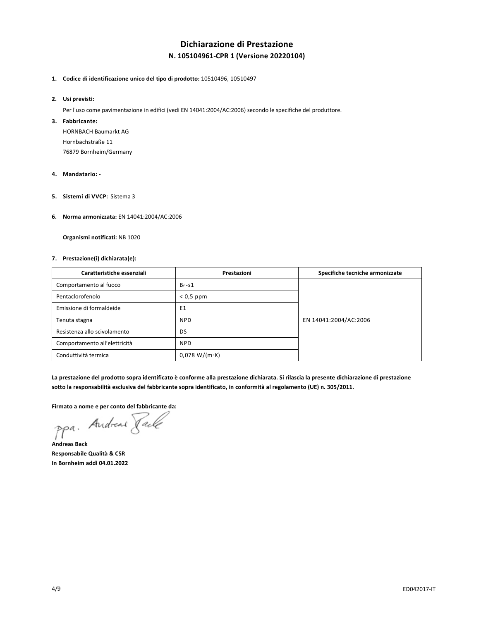# **Dichiarazione di Prestazione N. 105104961-CPR 1 (Versione 20220104)**

**1. Codice di identificazione unico del tipo di prodotto:** 10510496, 10510497

### **2. Usi previsti:**

Per l'uso come pavimentazione in edifici (vedi EN 14041:2004/AC:2006) secondo le specifiche del produttore.

### **3. Fabbricante:**

HORNBACH Baumarkt AG Hornbachstraße 11 76879 Bornheim/Germany

### **4. Mandatario: -**

**5. Sistemi di VVCP:** Sistema 3

### **6. Norma armonizzata:** EN 14041:2004/AC:2006

 **Organismi notificati:** NB 1020

### **7. Prestazione(i) dichiarata(e):**

| Caratteristiche essenziali    | Prestazioni   | Specifiche tecniche armonizzate |
|-------------------------------|---------------|---------------------------------|
| Comportamento al fuoco        | $B_{fl} - S1$ |                                 |
| Pentaclorofenolo              | $< 0.5$ ppm   |                                 |
| Emissione di formaldeide      | E1            |                                 |
| Tenuta stagna                 | <b>NPD</b>    | EN 14041:2004/AC:2006           |
| Resistenza allo scivolamento  | DS            |                                 |
| Comportamento all'elettricità | <b>NPD</b>    |                                 |
| Conduttività termica          | 0,078 W/(m·K) |                                 |

**La prestazione del prodotto sopra identificato è conforme alla prestazione dichiarata. Si rilascia la presente dichiarazione di prestazione sotto la responsabilità esclusiva del fabbricante sopra identificato, in conformità al regolamento (UE) n. 305/2011.** 

**Firmato a nome e per conto del fabbricante da:** 

ppa. Andreas Pale

**Andreas Back Responsabile Qualità & CSR In Bornheim addì 04.01.2022**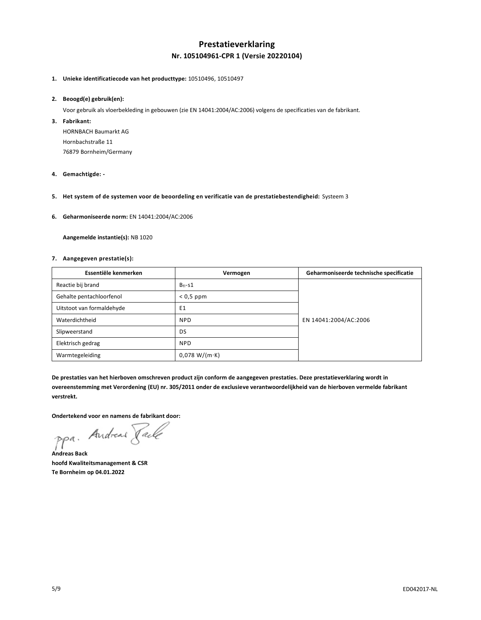## **Prestatieverklaring Nr. 105104961-CPR 1 (Versie 20220104)**

### **1. Unieke identificatiecode van het producttype:** 10510496, 10510497

### **2. Beoogd(e) gebruik(en):**

Voor gebruik als vloerbekleding in gebouwen (zie EN 14041:2004/AC:2006) volgens de specificaties van de fabrikant.

**3. Fabrikant:** 

HORNBACH Baumarkt AG Hornbachstraße 11 76879 Bornheim/Germany

- **4. Gemachtigde:**
- **5. Het system of de systemen voor de beoordeling en verificatie van de prestatiebestendigheid:** Systeem 3
- **6. Geharmoniseerde norm:** EN 14041:2004/AC:2006

 **Aangemelde instantie(s):** NB 1020

### **7. Aangegeven prestatie(s):**

| Essentiële kenmerken      | Vermogen      | Geharmoniseerde technische specificatie |
|---------------------------|---------------|-----------------------------------------|
| Reactie bij brand         | $B_{fl} - S1$ |                                         |
| Gehalte pentachloorfenol  | $< 0.5$ ppm   |                                         |
| Uitstoot van formaldehyde | E1            |                                         |
| Waterdichtheid            | <b>NPD</b>    | EN 14041:2004/AC:2006                   |
| Slipweerstand             | DS            |                                         |
| Elektrisch gedrag         | <b>NPD</b>    |                                         |
| Warmtegeleiding           | 0,078 W/(m·K) |                                         |

**De prestaties van het hierboven omschreven product zijn conform de aangegeven prestaties. Deze prestatieverklaring wordt in overeenstemming met Verordening (EU) nr. 305/2011 onder de exclusieve verantwoordelijkheid van de hierboven vermelde fabrikant verstrekt.** 

**Ondertekend voor en namens de fabrikant door:** 

ppa. Andreas Pale

**Andreas Back hoofd Kwaliteitsmanagement & CSR Te Bornheim op 04.01.2022**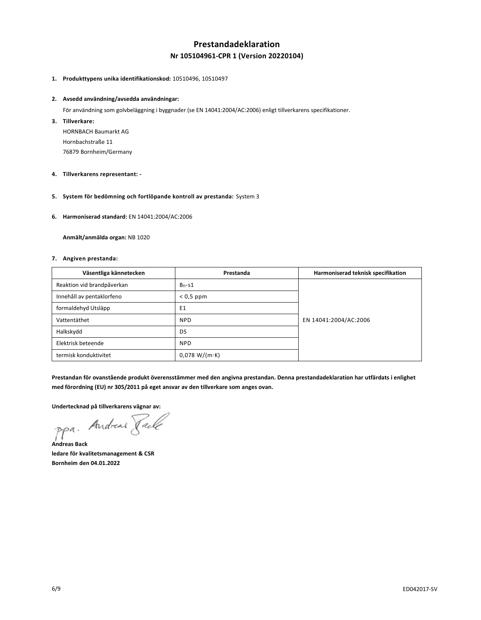# **Prestandadeklaration Nr 105104961-CPR 1 (Version 20220104)**

### **1. Produkttypens unika identifikationskod:** 10510496, 10510497

#### **2. Avsedd användning/avsedda användningar:**

För användning som golvbeläggning i byggnader (se EN 14041:2004/AC:2006) enligt tillverkarens specifikationer.

**3. Tillverkare:** 

HORNBACH Baumarkt AG Hornbachstraße 11 76879 Bornheim/Germany

- **4. Tillverkarens representant:**
- **5. System för bedömning och fortlöpande kontroll av prestanda:** System 3
- **6. Harmoniserad standard:** EN 14041:2004/AC:2006

 **Anmält/anmälda organ:** NB 1020

### **7. Angiven prestanda:**

| Väsentliga kännetecken     | Prestanda      | Harmoniserad teknisk specifikation |
|----------------------------|----------------|------------------------------------|
| Reaktion vid brandpåverkan | $B_{fl} - S1$  |                                    |
| Innehåll av pentaklorfeno  | $< 0.5$ ppm    |                                    |
| formaldehyd Utsläpp        | E <sub>1</sub> |                                    |
| Vattentäthet               | <b>NPD</b>     | EN 14041:2004/AC:2006              |
| Halkskydd                  | DS             |                                    |
| Elektrisk beteende         | <b>NPD</b>     |                                    |
| termisk konduktivitet      | 0.078 W/(m·K)  |                                    |

**Prestandan för ovanstående produkt överensstämmer med den angivna prestandan. Denna prestandadeklaration har utfärdats i enlighet med förordning (EU) nr 305/2011 på eget ansvar av den tillverkare som anges ovan.** 

**Undertecknad på tillverkarens vägnar av:** 

ppa. Andreas Faile

**Andreas Back ledare för kvalitetsmanagement & CSR Bornheim den 04.01.2022**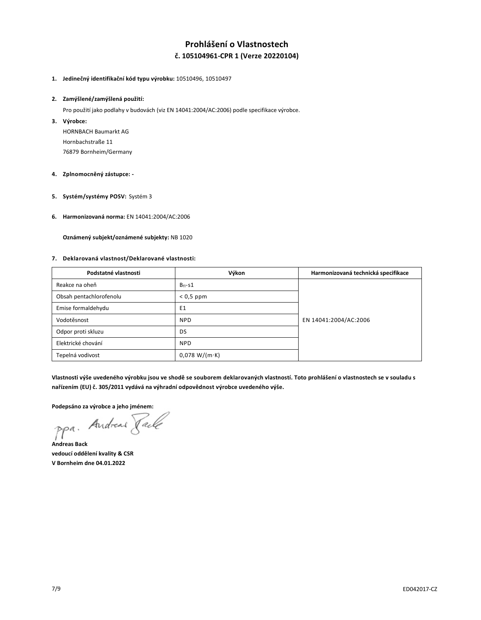# **Prohlášení o Vlastnostech č. 105104961-CPR 1 (Verze 20220104)**

### **1. Jedinečný identifikační kód typu výrobku:** 10510496, 10510497

### **2. Zamýšlené/zamýšlená použití:**

Pro použití jako podlahy v budovách (viz EN 14041:2004/AC:2006) podle specifikace výrobce.

**3. Výrobce:** 

HORNBACH Baumarkt AG Hornbachstraße 11 76879 Bornheim/Germany

### **4. Zplnomocněný zástupce: -**

- **5. Systém/systémy POSV:** Systém 3
- **6. Harmonizovaná norma:** EN 14041:2004/AC:2006

 **Oznámený subjekt/oznámené subjekty:** NB 1020

### **7. Deklarovaná vlastnost/Deklarované vlastnosti:**

| Podstatné vlastnosti    | Výkon          | Harmonizovaná technická specifikace |
|-------------------------|----------------|-------------------------------------|
| Reakce na oheň          | $B_{fl} - S1$  |                                     |
| Obsah pentachlorofenolu | $< 0.5$ ppm    |                                     |
| Emise formaldehydu      | E <sub>1</sub> |                                     |
| Vodotěsnost             | <b>NPD</b>     | EN 14041:2004/AC:2006               |
| Odpor proti skluzu      | DS             |                                     |
| Elektrické chování      | <b>NPD</b>     |                                     |
| Tepelná vodivost        | 0.078 W/(m·K)  |                                     |

Vlastnosti výše uvedeného výrobku jsou ve shodě se souborem deklarovaných vlastností. Toto prohlášení o vlastnostech se v souladu s **nařízením (EU) č. 305/2011 vydává na výhradní odpovědnost výrobce uvedeného výše.**

**Podepsáno za výrobce a jeho jménem:** 

**Andreas Back vedoucí oddělení kvality & CSR V Bornheim dne 04.01.2022**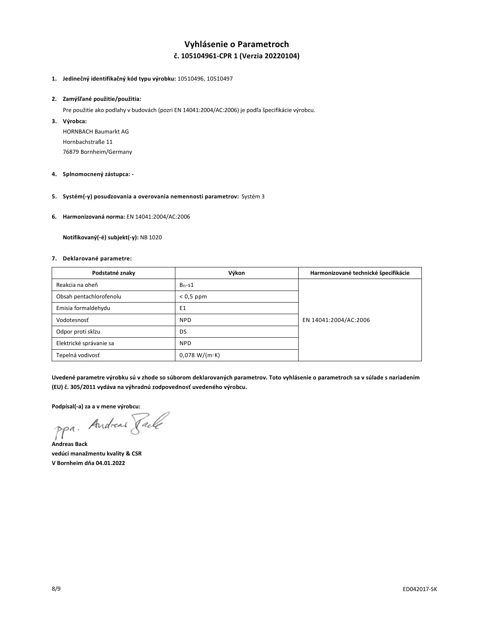# **Vyhlásenie o Parametroch č. 105104961-CPR 1 (Verzia 20220104)**

### **1. Jedinečný identifikačný kód typu výrobku:** 10510496, 10510497

### **2. Zamýšľané použitie/použitia:**

Pre použitie ako podlahy v budovách (pozri EN 14041:2004/AC:2006) je podľa špecifikácie výrobcu.

**3. Výrobca:** 

HORNBACH Baumarkt AG Hornbachstraße 11 76879 Bornheim/Germany

- **4. Splnomocnený zástupca:**
- **5. Systém(-y) posudzovania a overovania nemennosti parametrov:** Systém 3
- **6. Harmonizovaná norma:** EN 14041:2004/AC:2006

 **Notifikovaný(-é) subjekt(-y):** NB 1020

### **7. Deklarované parametre:**

| Podstatné znaky         | Výkon          | Harmonizované technické špecifikácie |
|-------------------------|----------------|--------------------------------------|
| Reakcia na oheň         | $B_{fl} - S1$  |                                      |
| Obsah pentachlorofenolu | $< 0.5$ ppm    |                                      |
| Emisia formaldehydu     | E <sub>1</sub> |                                      |
| Vodotesnosť             | <b>NPD</b>     | EN 14041:2004/AC:2006                |
| Odpor proti sklzu       | DS             |                                      |
| Elektrické správanie sa | <b>NPD</b>     |                                      |
| Tepelná vodivosť        | 0.078 W/(m·K)  |                                      |

**Uvedené parametre výrobku sú v zhode so súborom deklarovaných parametrov. Toto vyhlásenie o parametroch sa v súlade s nariadením (EU) č. 305/2011 vydáva na výhradnú zodpovednosť uvedeného výrobcu.**

Podpísall-a) za a v mene výrobcu:<br>PPa. Andread *Tacle* 

**Andreas Back vedúci manažmentu kvality & CSR V Bornheim dňa 04.01.2022**